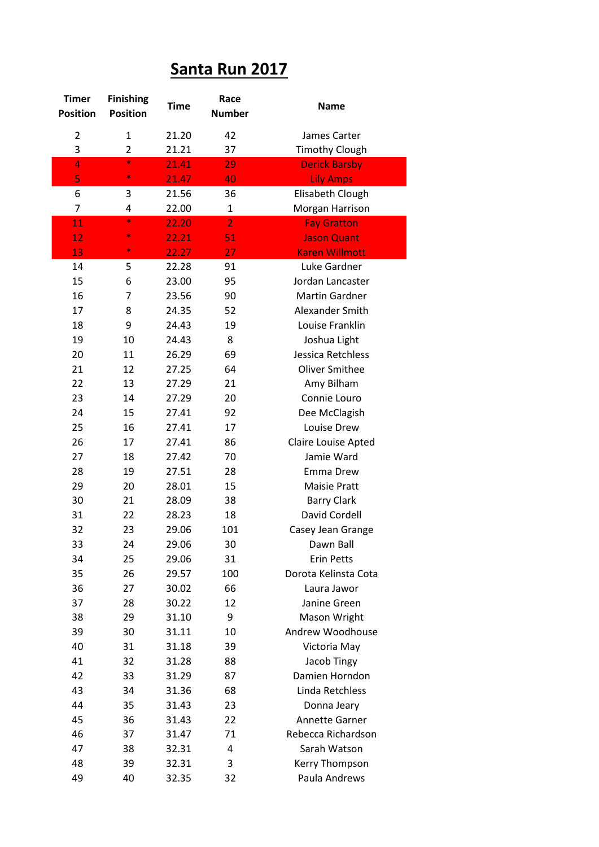## **Santa Run 2017**

| <b>Timer</b><br><b>Position</b> | <b>Finishing</b><br><b>Position</b> | <b>Time</b> | Race<br><b>Number</b> | <b>Name</b>                   |
|---------------------------------|-------------------------------------|-------------|-----------------------|-------------------------------|
| $\overline{2}$                  | $\mathbf{1}$                        | 21.20       | 42                    | James Carter                  |
| 3                               | $\overline{2}$                      | 21.21       | 37                    | <b>Timothy Clough</b>         |
| 4                               | $\ast$                              | 21.41       | 29                    | <b>Derick Barsby</b>          |
| 5                               | $\ast$                              | 21.47       | 40                    | <b>Lily Amps</b>              |
| 6                               | 3                                   | 21.56       | 36                    | Elisabeth Clough              |
| 7                               | 4                                   | 22.00       | $\mathbf{1}$          | Morgan Harrison               |
| 11                              | $\ast$                              | 22.20       | $\overline{2}$        | <b>Fay Gratton</b>            |
| 12                              | $\ast$                              | 22.21       | 51                    | <b>Jason Quant</b>            |
| 13                              | $\ast$                              | 22.27       | 27                    | <b>Karen Willmott</b>         |
| 14                              | 5                                   | 22.28       | 91                    | Luke Gardner                  |
| 15                              | 6                                   | 23.00       | 95                    | Jordan Lancaster              |
| 16                              | 7                                   | 23.56       | 90                    | <b>Martin Gardner</b>         |
| 17                              | 8                                   | 24.35       | 52                    | Alexander Smith               |
| 18                              | 9                                   | 24.43       | 19                    | Louise Franklin               |
| 19                              | 10                                  | 24.43       | 8                     | Joshua Light                  |
| 20                              | 11                                  | 26.29       | 69                    | Jessica Retchless             |
| 21                              | 12                                  | 27.25       | 64                    | <b>Oliver Smithee</b>         |
| 22                              | 13                                  | 27.29       | 21                    | Amy Bilham                    |
| 23                              | 14                                  | 27.29       | 20                    | Connie Louro                  |
| 24                              | 15                                  | 27.41       | 92                    | Dee McClagish                 |
| 25                              | 16                                  | 27.41       | 17                    | Louise Drew                   |
| 26                              | 17                                  | 27.41       | 86                    | Claire Louise Apted           |
| 27                              | 18                                  | 27.42       | 70                    | Jamie Ward                    |
| 28                              | 19                                  | 27.51       | 28                    | Emma Drew                     |
| 29                              | 20                                  | 28.01       | 15                    | <b>Maisie Pratt</b>           |
| 30                              | 21                                  | 28.09       | 38                    | <b>Barry Clark</b>            |
| 31                              | 22                                  | 28.23       | 18                    | David Cordell                 |
| 32                              | 23                                  | 29.06       | 101                   | Casey Jean Grange             |
| 33                              | 24                                  | 29.06       | 30                    | Dawn Ball                     |
| 34                              | 25                                  | 29.06       | 31                    | <b>Erin Petts</b>             |
| 35                              | 26                                  | 29.57       | 100                   | Dorota Kelinsta Cota          |
| 36                              | 27                                  | 30.02       | 66                    | Laura Jawor                   |
| 37                              | 28                                  | 30.22       | 12                    | Janine Green                  |
| 38                              | 29                                  | 31.10       | 9                     | Mason Wright                  |
| 39                              | 30                                  | 31.11       | 10                    | Andrew Woodhouse              |
| 40<br>41                        | 31                                  | 31.18       | 39                    | Victoria May                  |
| 42                              | 32                                  | 31.28       | 88                    | Jacob Tingy<br>Damien Horndon |
| 43                              | 33<br>34                            | 31.29       | 87                    | Linda Retchless               |
| 44                              |                                     | 31.36       | 68                    |                               |
| 45                              | 35<br>36                            | 31.43       | 23<br>22              | Donna Jeary<br>Annette Garner |
| 46                              |                                     | 31.43       | 71                    | Rebecca Richardson            |
| 47                              | 37                                  | 31.47       | 4                     | Sarah Watson                  |
| 48                              | 38<br>39                            | 32.31       | 3                     |                               |
|                                 |                                     | 32.31       |                       | Kerry Thompson                |
| 49                              | 40                                  | 32.35       | 32                    | Paula Andrews                 |